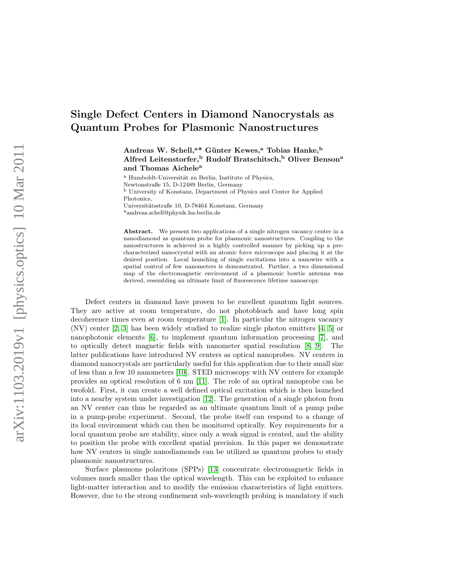## Single Defect Centers in Diamond Nanocrystals as Quantum Probes for Plasmonic Nanostructures

## Andreas W. Schell,<sup>a\*</sup> Günter Kewes,<sup>a</sup> Tobias Hanke,<sup>b</sup> Alfred Leitenstorfer,<sup>b</sup> Rudolf Bratschitsch,<sup>b</sup> Oliver Benson<sup>a</sup> and Thomas Aichele<sup>a</sup>

<sup>a</sup> Humboldt-Universität zu Berlin, Institute of Physics,

Newtonstraße 15, D-12489 Berlin, Germany

<sup>b</sup> University of Konstanz, Department of Physics and Center for Applied Photonics,

Universitätsstraße 10, D-78464 Konstanz, Germany \*andreas.schell@physik.hu-berlin.de

Abstract. We present two applications of a single nitrogen vacancy center in a nanodiamond as quantum probe for plasmonic nanostructures. Coupling to the nanostructures is achieved in a highly controlled manner by picking up a precharacterized nanocrystal with an atomic force microscope and placing it at the desired position. Local launching of single excitations into a nanowire with a spatial control of few nanometers is demonstrated. Further, a two dimensional map of the electromagnetic environment of a plasmonic bowtie antenna was derived, resembling an ultimate limit of fluorescence lifetime nanoscopy.

Defect centers in diamond have proven to be excellent quantum light sources. They are active at room temperature, do not photobleach and have long spin decoherence times even at room temperature [\[1\]](#page-5-0). In particular the nitrogen vacancy (NV) center [\[2,](#page-5-1) [3\]](#page-5-2) has been widely studied to realize single photon emitters [\[4,](#page-5-3) [5\]](#page-5-4) or nanophotonic elements [\[6\]](#page-5-5), to implement quantum information processing [\[7\]](#page-5-6), and to optically detect magnetic fields with nanometer spatial resolution [\[8,](#page-5-7) [9\]](#page-6-0). The latter publications have introduced NV centers as optical nanoprobes. NV centers in diamond nanocrystals are particularly useful for this application due to their small size of less than a few 10 nanometers [\[10\]](#page-6-1). STED microscopy with NV centers for example provides an optical resolution of 6 nm [\[11\]](#page-6-2). The role of an optical nanoprobe can be twofold. First, it can create a well defined optical excitation which is then launched into a nearby system under investigation [\[12\]](#page-6-3). The generation of a single photon from an NV center can thus be regarded as an ultimate quantum limit of a pump pulse in a pump-probe experiment. Second, the probe itself can respond to a change of its local environment which can then be monitored optically. Key requirements for a local quantum probe are stability, since only a weak signal is created, and the ability to position the probe with excellent spatial precision. In this paper we demonstrate how NV centers in single nanodiamonds can be utilized as quantum probes to study plasmonic nanostructures.

Surface plasmons polaritons (SPPs) [\[13\]](#page-6-4) concentrate electromagnetic fields in volumes much smaller than the optical wavelength. This can be exploited to enhance light-matter interaction and to modify the emission characteristics of light emitters. However, due to the strong confinement sub-wavelength probing is mandatory if such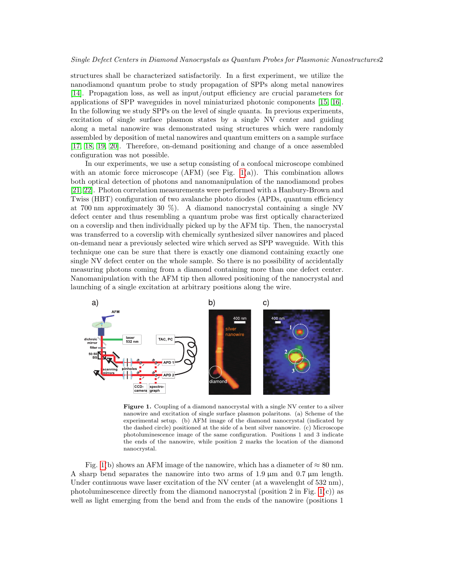structures shall be characterized satisfactorily. In a first experiment, we utilize the nanodiamond quantum probe to study propagation of SPPs along metal nanowires [\[14\]](#page-6-5). Propagation loss, as well as input/output efficiency are crucial parameters for applications of SPP waveguides in novel miniaturized photonic components [\[15,](#page-6-6) [16\]](#page-6-7). In the following we study SPPs on the level of single quanta. In previous experiments, excitation of single surface plasmon states by a single NV center and guiding along a metal nanowire was demonstrated using structures which were randomly assembled by deposition of metal nanowires and quantum emitters on a sample surface [\[17,](#page-6-8) [18,](#page-6-9) [19,](#page-6-10) [20\]](#page-6-11). Therefore, on-demand positioning and change of a once assembled configuration was not possible.

In our experiments, we use a setup consisting of a confocal microscope combined with an atomic force microscope  $(AFM)$  (see Fig. [1\(](#page-1-0)a)). This combination allows both optical detection of photons and nanomanipulation of the nanodiamond probes [\[21,](#page-6-12) [22\]](#page-6-13). Photon correlation measurements were performed with a Hanbury-Brown and Twiss (HBT) configuration of two avalanche photo diodes (APDs, quantum efficiency at 700 nm approximately 30 %). A diamond nanocrystal containing a single NV defect center and thus resembling a quantum probe was first optically characterized on a coverslip and then individually picked up by the AFM tip. Then, the nanocrystal was transferred to a coverslip with chemically synthesized silver nanowires and placed on-demand near a previously selected wire which served as SPP waveguide. With this technique one can be sure that there is exactly one diamond containing exactly one single NV defect center on the whole sample. So there is no possibility of accidentally measuring photons coming from a diamond containing more than one defect center. Nanomanipulation with the AFM tip then allowed positioning of the nanocrystal and launching of a single excitation at arbitrary positions along the wire.



<span id="page-1-0"></span>Figure 1. Coupling of a diamond nanocrystal with a single NV center to a silver nanowire and excitation of single surface plasmon polaritons. (a) Scheme of the experimental setup. (b) AFM image of the diamond nanocrystal (indicated by the dashed circle) positioned at the side of a bent silver nanowire. (c) Microscope photoluminescence image of the same configuration. Positions 1 and 3 indicate the ends of the nanowire, while position 2 marks the location of the diamond nanocrystal.

Fig. [1\(](#page-1-0)b) shows an AFM image of the nanowire, which has a diameter of  $\approx 80$  nm. A sharp bend separates the nanowire into two arms of  $1.9 \mu m$  and  $0.7 \mu m$  length. Under continuous wave laser excitation of the NV center (at a wavelenght of 532 nm), photoluminescence directly from the diamond nanocrystal (position 2 in Fig.  $1(c)$ ) as well as light emerging from the bend and from the ends of the nanowire (positions 1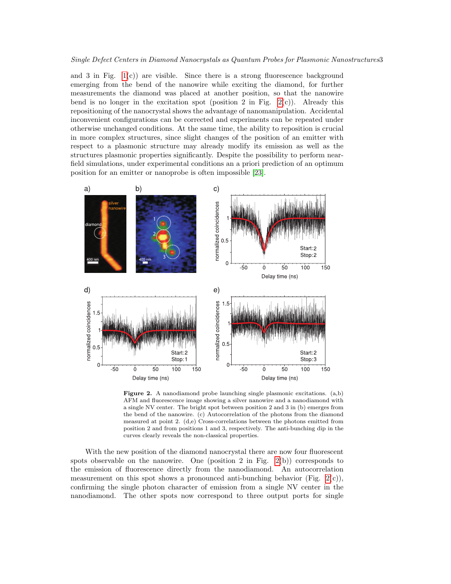## Single Defect Centers in Diamond Nanocrystals as Quantum Probes for Plasmonic Nanostructures3

and 3 in Fig.  $1(c)$  are visible. Since there is a strong fluorescence background emerging from the bend of the nanowire while exciting the diamond, for further measurements the diamond was placed at another position, so that the nanowire bend is no longer in the excitation spot (position 2 in Fig.  $2(c)$ ). Already this repositioning of the nanocrystal shows the advantage of nanomanipulation. Accidental inconvenient configurations can be corrected and experiments can be repeated under otherwise unchanged conditions. At the same time, the ability to reposition is crucial in more complex structures, since slight changes of the position of an emitter with respect to a plasmonic structure may already modify its emission as well as the structures plasmonic properties significantly. Despite the possibility to perform nearfield simulations, under experimental conditions an a priori prediction of an optimum position for an emitter or nanoprobe is often impossible [\[23\]](#page-6-14).



<span id="page-2-0"></span>Figure 2. A nanodiamond probe launching single plasmonic excitations. (a,b) AFM and fluorescence image showing a silver nanowire and a nanodiamond with a single NV center. The bright spot between position 2 and 3 in (b) emerges from the bend of the nanowire. (c) Autocorrelation of the photons from the diamond measured at point 2. (d,e) Cross-correlations between the photons emitted from position 2 and from positions 1 and 3, respectively. The anti-bunching dip in the curves clearly reveals the non-classical properties.

With the new position of the diamond nanocrystal there are now four fluorescent spots observable on the nanowire. One (position 2 in Fig. [2\(](#page-2-0)b)) corresponds to the emission of fluorescence directly from the nanodiamond. An autocorrelation measurement on this spot shows a pronounced anti-bunching behavior (Fig.  $2(c)$ ), confirming the single photon character of emission from a single NV center in the nanodiamond. The other spots now correspond to three output ports for single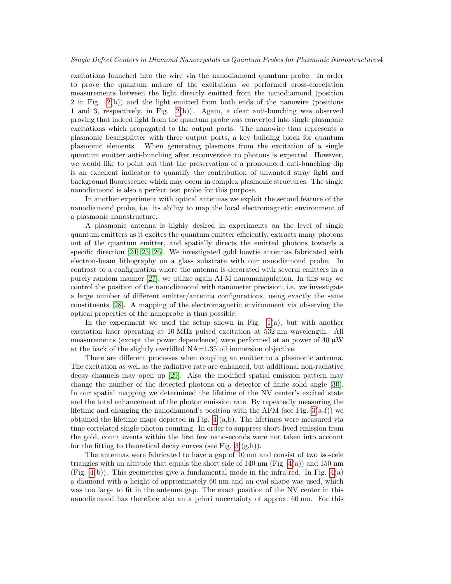excitations launched into the wire via the nanodiamond quantum probe. In order to prove the quantum nature of the excitations we performed cross-correlation measurements between the light directly emitted from the nanodiamond (position 2 in Fig. [2\(](#page-2-0)b)) and the light emitted from both ends of the nanowire (positions 1 and 3, respectively, in Fig. [2\(](#page-2-0)b)). Again, a clear anti-bunching was observed proving that indeed light from the quantum probe was converted into single plasmonic excitations which propagated to the output ports. The nanowire thus represents a plasmonic beamsplitter with three output ports, a key building block for quantum plasmonic elements. When generating plasmons from the excitation of a single quantum emitter anti-bunching after reconversion to photons is expected. However, we would like to point out that the preservation of a pronounced anti-bunching dip is an excellent indicator to quantify the contribution of unwanted stray light and background fluorescence which may occur in complex plasmonic structures. The single nanodiamond is also a perfect test probe for this purpose.

In another experiment with optical antennas we exploit the second feature of the nanodiamond probe, i.e. its ability to map the local electromagnetic environment of a plasmonic nanostructure.

A plasmonic antenna is highly desired in experiments on the level of single quantum emitters as it excites the quantum emitter efficiently, extracts many photons out of the quantum emitter, and spatially directs the emitted photons towards a specific direction [\[24,](#page-6-15) [25,](#page-6-16) [26\]](#page-6-17). We investigated gold bowtie antennas fabricated with electron-beam lithography on a glass substrate with our nanodiamond probe. In contrast to a configuration where the antenna is decorated with several emitters in a purely random manner [\[27\]](#page-6-18), we utilize again AFM nanomanipulation. In this way we control the position of the nanodiamond with nanometer precision, i.e. we investigate a large number of different emitter/antenna configurations, using exactly the same constituents [\[28\]](#page-6-19). A mapping of the electromagnetic environment via observing the optical properties of the nanoprobe is thus possible.

In the experiment we used the setup shown in Fig.  $1(a)$ , but with another excitation laser operating at 10 MHz pulsed excitation at 532 nm wavelength. All measurements (except the power dependence) were performed at an power of 40  $\mu$ W at the back of the slightly overfilled NA=1.35 oil immersion objective.

There are different processes when coupling an emitter to a plasmonic antenna. The excitation as well as the radiative rate are enhanced, but additional non-radiative decay channels may open up [\[29\]](#page-6-20). Also the modified spatial emission pattern may change the number of the detected photons on a detector of finite solid angle [\[30\]](#page-6-21). In our spatial mapping we determined the lifetime of the NV center's excited state and the total enhancement of the photon emission rate. By repeatedly measuring the lifetime and changing the nanodiamond's position with the AFM (see Fig.  $3(a-f)$ ) we obtained the lifetime maps depicted in Fig. [4](#page-4-1) (a,b). The lifetimes were measured via time correlated single photon counting. In order to suppress short-lived emission from the gold, count events within the first few nanoseconds were not taken into account for the fitting to theoretical decay curves (see Fig. [3](#page-4-0)  $(g,h)$ ).

The antennas were fabricated to have a gap of 10 nm and consist of two isoscele triangles with an altitude that equals the short side of  $140 \text{ nm}$  (Fig.  $4(a)$ ) and  $150 \text{ nm}$ (Fig. [4\(](#page-4-1)b)). This geometries give a fundamental mode in the infra-red. In Fig. [4\(](#page-4-1)a) a diamond with a height of approximately 60 nm and an oval shape was used, which was too large to fit in the antenna gap. The exact position of the NV center in this nanodiamond has therefore also an a priori uncertainty of approx. 60 nm. For this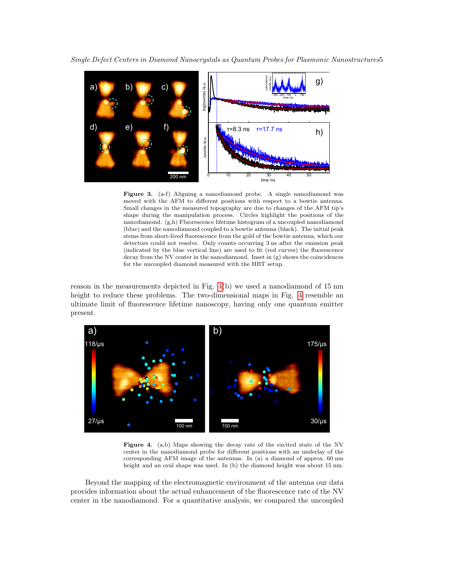Single Defect Centers in Diamond Nanocrystals as Quantum Probes for Plasmonic Nanostructures5



<span id="page-4-0"></span>Figure 3. (a-f) Aligning a nanodiamond probe. A single nanodiamond was moved with the AFM to different positions with respect to a bowtie antenna. Small changes in the measured topography are due to changes of the AFM tip's shape during the manipulation process. Circles highlight the positions of the nanodiamond. (g,h) Fluorescence lifetime histogram of a uncoupled nanodiamond (blue) and the nanodiamond coupled to a bowtie antenna (black). The initial peak stems from short-lived fluorescence from the gold of the bowtie antenna, which our detectors could not resolve. Only counts occurring 3 ns after the emission peak (indicated by the blue vertical line) are used to fit (red curves) the fluorescence decay from the NV center in the nanodiamond. Inset in  $(g)$  shows the coincidences for the uncoupled diamond measured with the HBT setup.

reason in the measurements depicted in Fig. [4\(](#page-4-1)b) we used a nanodiamond of 15 nm height to reduce these problems. The two-dimensional maps in Fig. [4](#page-4-1) resemble an ultimate limit of fluorescence lifetime nanoscopy, having only one quantum emitter present.



<span id="page-4-1"></span>Figure 4. (a,b) Maps showing the decay rate of the excited state of the NV center in the nanodiamond probe for different positions with an underlay of the corresponding AFM image of the antennas. In (a) a diamond of approx. 60 nm height and an oval shape was used. In (b) the diamond height was about 15 nm.

Beyond the mapping of the electromagnetic environment of the antenna our data provides information about the actual enhancement of the fluorescence rate of the NV center in the nanodiamond. For a quantitative analysis, we compared the uncoupled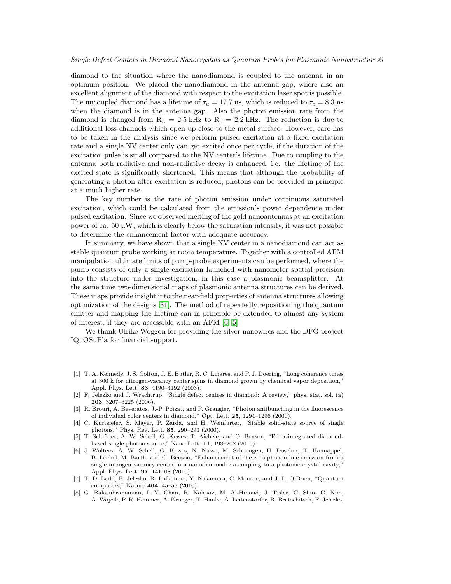diamond to the situation where the nanodiamond is coupled to the antenna in an optimum position. We placed the nanodiamond in the antenna gap, where also an excellent alignment of the diamond with respect to the excitation laser spot is possible. The uncoupled diamond has a lifetime of  $\tau_u = 17.7$  ns, which is reduced to  $\tau_c = 8.3$  ns when the diamond is in the antenna gap. Also the photon emission rate from the diamond is changed from  $R_u = 2.5$  kHz to  $R_c = 2.2$  kHz. The reduction is due to additional loss channels which open up close to the metal surface. However, care has to be taken in the analysis since we perform pulsed excitation at a fixed excitation rate and a single NV center only can get excited once per cycle, if the duration of the excitation pulse is small compared to the NV center's lifetime. Due to coupling to the antenna both radiative and non-radiative decay is enhanced, i.e. the lifetime of the excited state is significantly shortened. This means that although the probability of generating a photon after excitation is reduced, photons can be provided in principle at a much higher rate.

The key number is the rate of photon emission under continuous saturated excitation, which could be calculated from the emission's power dependence under pulsed excitation. Since we observed melting of the gold nanoantennas at an excitation power of ca. 50  $\mu$ W, which is clearly below the saturation intensity, it was not possible to determine the enhancement factor with adequate accuracy.

In summary, we have shown that a single NV center in a nanodiamond can act as stable quantum probe working at room temperature. Together with a controlled AFM manipulation ultimate limits of pump-probe experiments can be performed, where the pump consists of only a single excitation launched with nanometer spatial precision into the structure under investigation, in this case a plasmonic beamsplitter. At the same time two-dimensional maps of plasmonic antenna structures can be derived. These maps provide insight into the near-field properties of antenna structures allowing optimization of the designs [\[31\]](#page-6-22). The method of repeatedly repositioning the quantum emitter and mapping the lifetime can in principle be extended to almost any system of interest, if they are accessible with an AFM [\[6,](#page-5-5) [5\]](#page-5-4).

We thank Ulrike Woggon for providing the silver nanowires and the DFG project IQuOSuPla for financial support.

- <span id="page-5-0"></span>[1] T. A. Kennedy, J. S. Colton, J. E. Butler, R. C. Linares, and P. J. Doering, "Long coherence times at 300 k for nitrogen-vacancy center spins in diamond grown by chemical vapor deposition," Appl. Phys. Lett. 83, 4190–4192 (2003).
- <span id="page-5-1"></span>[2] F. Jelezko and J. Wrachtrup, "Single defect centres in diamond: A review," phys. stat. sol. (a) 203, 3207–3225 (2006).
- <span id="page-5-2"></span>[3] R. Brouri, A. Beveratos, J.-P. Poizat, and P. Grangier, "Photon antibunching in the fluorescence of individual color centers in diamond," Opt. Lett. 25, 1294–1296 (2000).
- <span id="page-5-3"></span>[4] C. Kurtsiefer, S. Mayer, P. Zarda, and H. Weinfurter, "Stable solid-state source of single photons," Phys. Rev. Lett. 85, 290–293 (2000).
- <span id="page-5-4"></span>[5] T. Schröder, A. W. Schell, G. Kewes, T. Aichele, and O. Benson, "Fiber-integrated diamondbased single photon source," Nano Lett. 11, 198–202 (2010).
- <span id="page-5-5"></span>[6] J. Wolters, A. W. Schell, G. Kewes, N. N¨usse, M. Schoengen, H. Doscher, T. Hannappel, B. Löchel, M. Barth, and O. Benson, "Enhancement of the zero phonon line emission from a single nitrogen vacancy center in a nanodiamond via coupling to a photonic crystal cavity," Appl. Phys. Lett. **97**, 141108 (2010).
- <span id="page-5-6"></span>[7] T. D. Ladd, F. Jelezko, R. Laflamme, Y. Nakamura, C. Monroe, and J. L. O'Brien, "Quantum computers," Nature 464, 45–53 (2010).
- <span id="page-5-7"></span>[8] G. Balasubramanian, I. Y. Chan, R. Kolesov, M. Al-Hmoud, J. Tisler, C. Shin, C. Kim, A. Wojcik, P. R. Hemmer, A. Krueger, T. Hanke, A. Leitenstorfer, R. Bratschitsch, F. Jelezko,